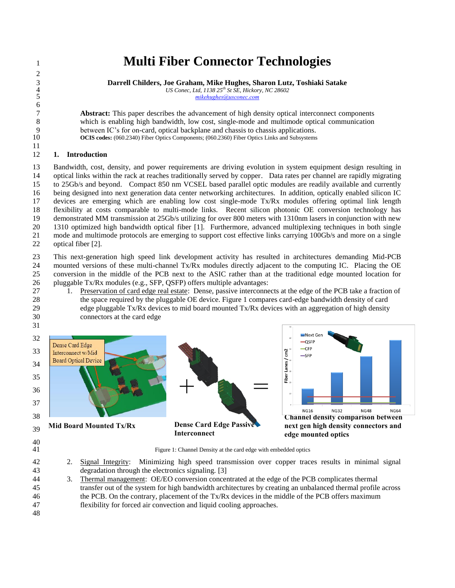# **Multi Fiber Connector Technologies**

 **Darrell Childers, Joe Graham, Mike Hughes, Sharon Lutz, Toshiaki Satake** *US Conec, Ltd, 1138 25<sup>th</sup> St SE, Hickory, NC 28602*<br>5 *Mikehughes@usconec.com* 

*[mikehughes@usconec.com](mailto:mikehughes@usconec.com)*

 **Abstract:** This paper describes the advancement of high density optical interconnect components which is enabling high bandwidth, low cost, single-mode and multimode optical communication 9 between IC's for on-card, optical backplane and chassis to chassis applications.<br>10 **OCIS codes:** (060.2340) Fiber Optics Components: (060.2360) Fiber Optics Links and Subsystems **OCIS codes:** (060.2340) Fiber Optics Components; (060.2360) Fiber Optics Links and Subsystems

## **1. Introduction**

 Bandwidth, cost, density, and power requirements are driving evolution in system equipment design resulting in optical links within the rack at reaches traditionally served by copper. Data rates per channel are rapidly migrating to 25Gb/s and beyond. Compact 850 nm VCSEL based parallel optic modules are readily available and currently being designed into next generation data center networking architectures. In addition, optically enabled silicon IC devices are emerging which are enabling low cost single-mode Tx/Rx modules offering optimal link length flexibility at costs comparable to multi-mode links. Recent silicon photonic OE conversion technology has demonstrated MM transmission at 25Gb/s utilizing for over 800 meters with 1310nm lasers in conjunction with new 1310 optimized high bandwidth optical fiber [1]. Furthermore, advanced multiplexing techniques in both single mode and multimode protocols are emerging to support cost effective links carrying 100Gb/s and more on a single optical fiber [2].

 This next-generation high speed link development activity has resulted in architectures demanding Mid-PCB mounted versions of these multi-channel Tx/Rx modules directly adjacent to the computing IC. Placing the OE conversion in the middle of the PCB next to the ASIC rather than at the traditional edge mounted location for pluggable Tx/Rx modules (e.g., SFP, QSFP) offers multiple advantages:

 1. Preservation of card edge real estate: Dense, passive interconnects at the edge of the PCB take a fraction of the space required by the pluggable OE device. Figure 1 compares card-edge bandwidth density of card 29 edge pluggable  $Tx/Rx$  devices to mid board mounted  $Tx/Rx$  devices with an aggregation of high density connectors at the card edge





 $\begin{array}{c} 40 \\ 41 \end{array}$ 

Figure 1: Channel Density at the card edge with embedded optics

 2. Signal Integrity: Minimizing high speed transmission over copper traces results in minimal signal degradation through the electronics signaling. [3]

- 3. Thermal management: OE/EO conversion concentrated at the edge of the PCB complicates thermal transfer out of the system for high bandwidth architectures by creating an unbalanced thermal profile across the PCB. On the contrary, placement of the Tx/Rx devices in the middle of the PCB offers maximum flexibility for forced air convection and liquid cooling approaches.
-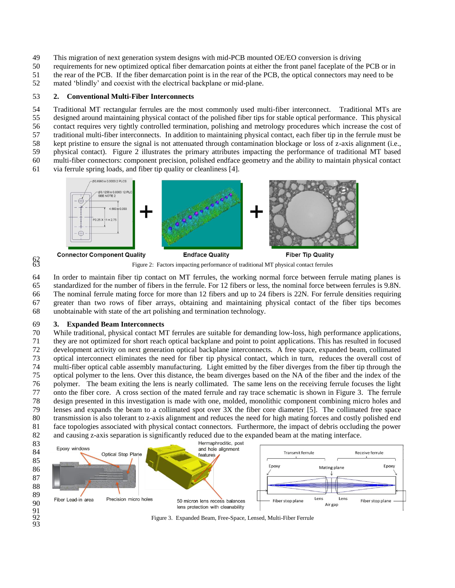- This migration of next generation system designs with mid-PCB mounted OE/EO conversion is driving
- requirements for new optimized optical fiber demarcation points at either the front panel faceplate of the PCB or in
- the rear of the PCB. If the fiber demarcation point is in the rear of the PCB, the optical connectors may need to be

mated 'blindly' and coexist with the electrical backplane or mid-plane.

#### **2. Conventional Multi-Fiber Interconnects**

 Traditional MT rectangular ferrules are the most commonly used multi-fiber interconnect. Traditional MTs are designed around maintaining physical contact of the polished fiber tips for stable optical performance. This physical

- contact requires very tightly controlled termination, polishing and metrology procedures which increase the cost of
- traditional multi-fiber interconnects. In addition to maintaining physical contact, each fiber tip in the ferrule must be kept pristine to ensure the signal is not attenuated through contamination blockage or loss of z-axis alignment (i.e.,
- physical contact). Figure 2 illustrates the primary attributes impacting the performance of traditional MT based
- multi-fiber connectors: component precision, polished endface geometry and the ability to maintain physical contact
- via ferrule spring loads, and fiber tip quality or cleanliness [4].



Figure 2: Factors impacting performance of traditional MT physical contact ferrules

 In order to maintain fiber tip contact on MT ferrules, the working normal force between ferrule mating planes is standardized for the number of fibers in the ferrule. For 12 fibers or less, the nominal force between ferrules is 9.8N.

- The nominal ferrule mating force for more than 12 fibers and up to 24 fibers is 22N. For ferrule densities requiring greater than two rows of fiber arrays, obtaining and maintaining physical contact of the fiber tips becomes
- unobtainable with state of the art polishing and termination technology.

#### **3. Expanded Beam Interconnects**

 $6^{2}_{63}$ 

 While traditional, physical contact MT ferrules are suitable for demanding low-loss, high performance applications, they are not optimized for short reach optical backplane and point to point applications. This has resulted in focused development activity on next generation optical backplane interconnects. A free space, expanded beam, collimated optical interconnect eliminates the need for fiber tip physical contact, which in turn, reduces the overall cost of multi-fiber optical cable assembly manufacturing. Light emitted by the fiber diverges from the fiber tip through the optical polymer to the lens. Over this distance, the beam diverges based on the NA of the fiber and the index of the polymer. The beam exiting the lens is nearly collimated. The same lens on the receiving ferrule focuses the light onto the fiber core. A cross section of the mated ferrule and ray trace schematic is shown in Figure 3. The ferrule design presented in this investigation is made with one, molded, monolithic component combining micro holes and lenses and expands the beam to a collimated spot over 3X the fiber core diameter [5]. The collimated free space transmission is also tolerant to z-axis alignment and reduces the need for high mating forces and costly polished end face topologies associated with physical contact connectors. Furthermore, the impact of debris occluding the power and causing z-axis separation is significantly reduced due to the expanded beam at the mating interface.



Figure 3. Expanded Beam, Free-Space, Lensed, Multi-Fiber Ferrule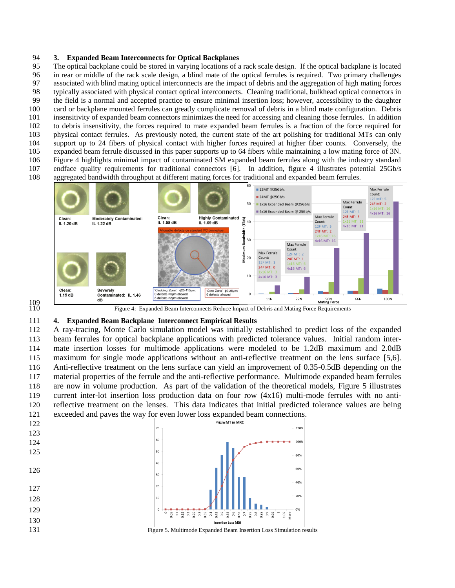### **3. Expanded Beam Interconnects for Optical Backplanes**

 The optical backplane could be stored in varying locations of a rack scale design. If the optical backplane is located in rear or middle of the rack scale design, a blind mate of the optical ferrules is required. Two primary challenges associated with blind mating optical interconnects are the impact of debris and the aggregation of high mating forces typically associated with physical contact optical interconnects. Cleaning traditional, bulkhead optical connectors in the field is a normal and accepted practice to ensure minimal insertion loss; however, accessibility to the daughter card or backplane mounted ferrules can greatly complicate removal of debris in a blind mate configuration. Debris insensitivity of expanded beam connectors minimizes the need for accessing and cleaning those ferrules. In addition to debris insensitivity, the forces required to mate expanded beam ferrules is a fraction of the force required for physical contact ferrules. As previously noted, the current state of the art polishing for traditional MTs can only support up to 24 fibers of physical contact with higher forces required at higher fiber counts. Conversely, the expanded beam ferrule discussed in this paper supports up to 64 fibers while maintaining a low mating force of 3N. Figure 4 highlights minimal impact of contaminated SM expanded beam ferrules along with the industry standard endface quality requirements for traditional connectors [6]. In addition, figure 4 illustrates potential 25Gb/s aggregated bandwidth throughput at different mating forces for traditional and expanded beam ferrules.





Figure 4: Expanded Beam Interconnects Reduce Impact of Debris and Mating Force Requirements

#### **4. Expanded Beam Backplane Interconnect Empirical Results**

 A ray-tracing, Monte Carlo simulation model was initially established to predict loss of the expanded beam ferrules for optical backplane applications with predicted tolerance values. Initial random inter- mate insertion losses for multimode applications were modeled to be 1.2dB maximum and 2.0dB maximum for single mode applications without an anti-reflective treatment on the lens surface [5,6]. Anti-reflective treatment on the lens surface can yield an improvement of 0.35-0.5dB depending on the material properties of the ferrule and the anti-reflective performance. Multimode expanded beam ferrules are now in volume production. As part of the validation of the theoretical models, Figure 5 illustrates current inter-lot insertion loss production data on four row (4x16) multi-mode ferrules with no anti- reflective treatment on the lenses. This data indicates that initial predicted tolerance values are being 121 exceeded and paves the way for even lower loss expanded beam connections.<br>122